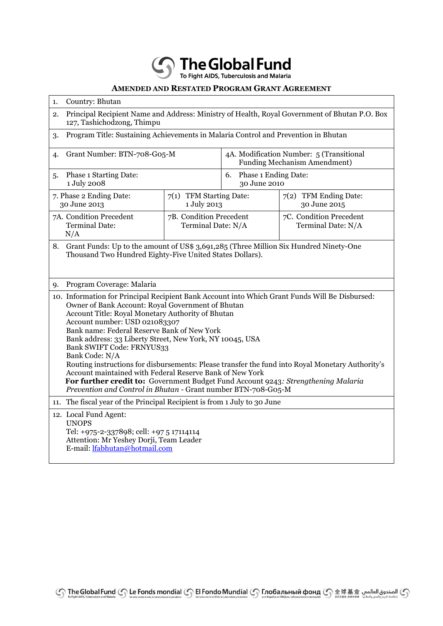**Solution** The Global Fund

## **AMENDED AND RESTATED PROGRAM GRANT AGREEMENT**

| Country: Bhutan<br>1.                                                                                                                                                                                                                                                                                                                                                                                                                                                                                                                                                                                                                                                                                                     |                                               |                                                                          |                                               |  |
|---------------------------------------------------------------------------------------------------------------------------------------------------------------------------------------------------------------------------------------------------------------------------------------------------------------------------------------------------------------------------------------------------------------------------------------------------------------------------------------------------------------------------------------------------------------------------------------------------------------------------------------------------------------------------------------------------------------------------|-----------------------------------------------|--------------------------------------------------------------------------|-----------------------------------------------|--|
| Principal Recipient Name and Address: Ministry of Health, Royal Government of Bhutan P.O. Box<br>2.<br>127, Tashichodzong, Thimpu                                                                                                                                                                                                                                                                                                                                                                                                                                                                                                                                                                                         |                                               |                                                                          |                                               |  |
| Program Title: Sustaining Achievements in Malaria Control and Prevention in Bhutan<br>3.                                                                                                                                                                                                                                                                                                                                                                                                                                                                                                                                                                                                                                  |                                               |                                                                          |                                               |  |
| Grant Number: BTN-708-G05-M<br>4.                                                                                                                                                                                                                                                                                                                                                                                                                                                                                                                                                                                                                                                                                         |                                               | 4A. Modification Number: 5 (Transitional<br>Funding Mechanism Amendment) |                                               |  |
| Phase 1 Starting Date:<br>5.<br>1 July 2008                                                                                                                                                                                                                                                                                                                                                                                                                                                                                                                                                                                                                                                                               |                                               | <b>Phase 1 Ending Date:</b><br>6.<br>30 June 2010                        |                                               |  |
| 7. Phase 2 Ending Date:<br>30 June 2013                                                                                                                                                                                                                                                                                                                                                                                                                                                                                                                                                                                                                                                                                   | 7(1) TFM Starting Date:<br>1 July 2013        |                                                                          | 7(2) TFM Ending Date:<br>30 June 2015         |  |
| 7A. Condition Precedent<br><b>Terminal Date:</b><br>N/A                                                                                                                                                                                                                                                                                                                                                                                                                                                                                                                                                                                                                                                                   | 7B. Condition Precedent<br>Terminal Date: N/A |                                                                          | 7C. Condition Precedent<br>Terminal Date: N/A |  |
| Grant Funds: Up to the amount of US\$ 3,691,285 (Three Million Six Hundred Ninety-One<br>8.<br>Thousand Two Hundred Eighty-Five United States Dollars).                                                                                                                                                                                                                                                                                                                                                                                                                                                                                                                                                                   |                                               |                                                                          |                                               |  |
| Program Coverage: Malaria<br>9.                                                                                                                                                                                                                                                                                                                                                                                                                                                                                                                                                                                                                                                                                           |                                               |                                                                          |                                               |  |
| 10. Information for Principal Recipient Bank Account into Which Grant Funds Will Be Disbursed:<br>Owner of Bank Account: Royal Government of Bhutan<br>Account Title: Royal Monetary Authority of Bhutan<br>Account number: USD 021083307<br>Bank name: Federal Reserve Bank of New York<br>Bank address: 33 Liberty Street, New York, NY 10045, USA<br>Bank SWIFT Code: FRNYUS33<br>Bank Code: N/A<br>Routing instructions for disbursements: Please transfer the fund into Royal Monetary Authority's<br>Account maintained with Federal Reserve Bank of New York<br>For further credit to: Government Budget Fund Account 9243: Strengthening Malaria<br>Prevention and Control in Bhutan - Grant number BTN-708-G05-M |                                               |                                                                          |                                               |  |
| The fiscal year of the Principal Recipient is from 1 July to 30 June<br>11.                                                                                                                                                                                                                                                                                                                                                                                                                                                                                                                                                                                                                                               |                                               |                                                                          |                                               |  |
| 12. Local Fund Agent:<br><b>UNOPS</b><br>Tel: +975-2-337898; cell: +97 5 17114114<br>Attention: Mr Yeshey Dorji, Team Leader<br>E-mail: lfabhutan@hotmail.com                                                                                                                                                                                                                                                                                                                                                                                                                                                                                                                                                             |                                               |                                                                          |                                               |  |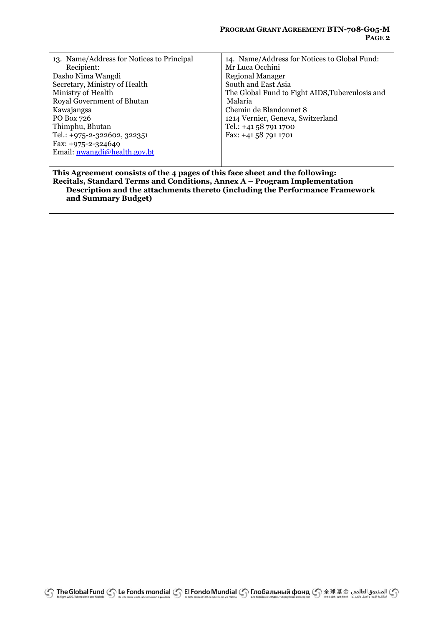| 13. Name/Address for Notices to Principal                                    | 14. Name/Address for Notices to Global Fund:    |  |  |  |
|------------------------------------------------------------------------------|-------------------------------------------------|--|--|--|
| Recipient:                                                                   | Mr Luca Occhini                                 |  |  |  |
| Dasho Nima Wangdi                                                            | <b>Regional Manager</b>                         |  |  |  |
| Secretary, Ministry of Health                                                | South and East Asia                             |  |  |  |
| Ministry of Health                                                           | The Global Fund to Fight AIDS, Tuberculosis and |  |  |  |
| Royal Government of Bhutan                                                   | Malaria                                         |  |  |  |
| Kawajangsa                                                                   | Chemin de Blandonnet 8                          |  |  |  |
| PO Box 726                                                                   | 1214 Vernier, Geneva, Switzerland               |  |  |  |
| Thimphu, Bhutan                                                              | Tel.: $+41587911700$                            |  |  |  |
| Tel.: +975-2-322602, 322351                                                  | Fax: +41 58 791 1701                            |  |  |  |
| Fax: $+975-2-324649$                                                         |                                                 |  |  |  |
| Email: <u>nwangdi</u> @health.gov.bt                                         |                                                 |  |  |  |
|                                                                              |                                                 |  |  |  |
| This Agreement consists of the 4 pages of this face sheet and the following: |                                                 |  |  |  |
| Recitals, Standard Terms and Conditions, Annex A – Program Implementation    |                                                 |  |  |  |
| Description and the attachments thereto (including the Performance Framework |                                                 |  |  |  |

**and Summary Budget)**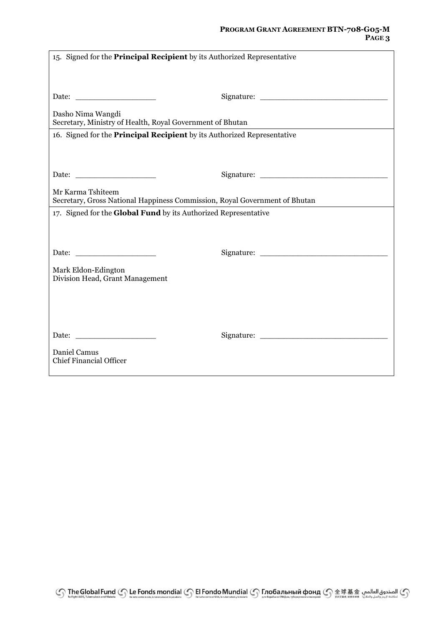## **PROGRAM GRANT AGREEMENT BTN-708-G05-M PAGE 3**

| 15. Signed for the Principal Recipient by its Authorized Representative                         |  |  |  |
|-------------------------------------------------------------------------------------------------|--|--|--|
|                                                                                                 |  |  |  |
| Dasho Nima Wangdi<br>Secretary, Ministry of Health, Royal Government of Bhutan                  |  |  |  |
| 16. Signed for the Principal Recipient by its Authorized Representative                         |  |  |  |
|                                                                                                 |  |  |  |
|                                                                                                 |  |  |  |
| Mr Karma Tshiteem<br>Secretary, Gross National Happiness Commission, Royal Government of Bhutan |  |  |  |
| 17. Signed for the Global Fund by its Authorized Representative                                 |  |  |  |
|                                                                                                 |  |  |  |
|                                                                                                 |  |  |  |
| Mark Eldon-Edington<br>Division Head, Grant Management                                          |  |  |  |
|                                                                                                 |  |  |  |
|                                                                                                 |  |  |  |
|                                                                                                 |  |  |  |
| Daniel Camus<br><b>Chief Financial Officer</b>                                                  |  |  |  |